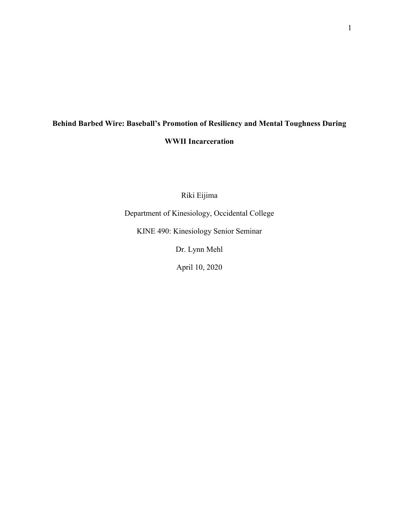# **Behind Barbed Wire: Baseball's Promotion of Resiliency and Mental Toughness During WWII Incarceration**

Riki Eijima

Department of Kinesiology, Occidental College

KINE 490: Kinesiology Senior Seminar

Dr. Lynn Mehl

April 10, 2020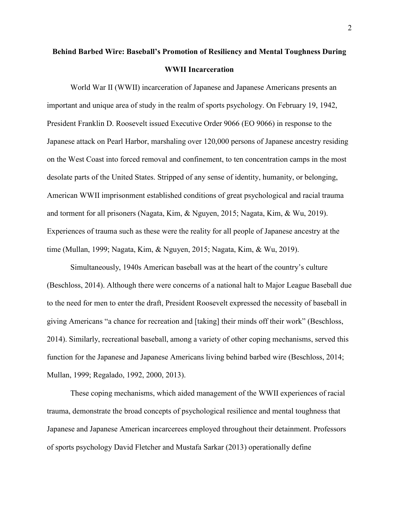## **Behind Barbed Wire: Baseball's Promotion of Resiliency and Mental Toughness During WWII Incarceration**

World War II (WWII) incarceration of Japanese and Japanese Americans presents an important and unique area of study in the realm of sports psychology. On February 19, 1942, President Franklin D. Roosevelt issued Executive Order 9066 (EO 9066) in response to the Japanese attack on Pearl Harbor, marshaling over 120,000 persons of Japanese ancestry residing on the West Coast into forced removal and confinement, to ten concentration camps in the most desolate parts of the United States. Stripped of any sense of identity, humanity, or belonging, American WWII imprisonment established conditions of great psychological and racial trauma and torment for all prisoners (Nagata, Kim, & Nguyen, 2015; Nagata, Kim, & Wu, 2019). Experiences of trauma such as these were the reality for all people of Japanese ancestry at the time (Mullan, 1999; Nagata, Kim, & Nguyen, 2015; Nagata, Kim, & Wu, 2019).

Simultaneously, 1940s American baseball was at the heart of the country's culture (Beschloss, 2014). Although there were concerns of a national halt to Major League Baseball due to the need for men to enter the draft, President Roosevelt expressed the necessity of baseball in giving Americans "a chance for recreation and [taking] their minds off their work" (Beschloss, 2014). Similarly, recreational baseball, among a variety of other coping mechanisms, served this function for the Japanese and Japanese Americans living behind barbed wire (Beschloss, 2014; Mullan, 1999; Regalado, 1992, 2000, 2013).

These coping mechanisms, which aided management of the WWII experiences of racial trauma, demonstrate the broad concepts of psychological resilience and mental toughness that Japanese and Japanese American incarcerees employed throughout their detainment. Professors of sports psychology David Fletcher and Mustafa Sarkar (2013) operationally define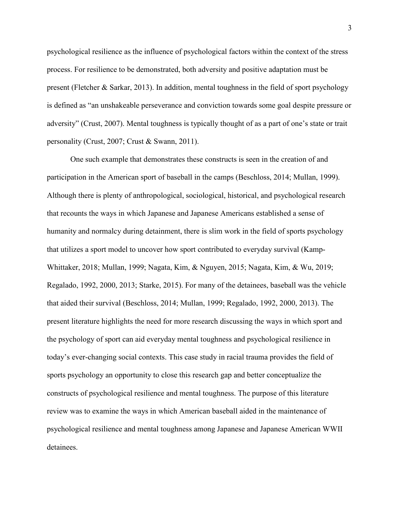psychological resilience as the influence of psychological factors within the context of the stress process. For resilience to be demonstrated, both adversity and positive adaptation must be present (Fletcher & Sarkar, 2013). In addition, mental toughness in the field of sport psychology is defined as "an unshakeable perseverance and conviction towards some goal despite pressure or adversity" (Crust, 2007). Mental toughness is typically thought of as a part of one's state or trait personality (Crust, 2007; Crust & Swann, 2011).

One such example that demonstrates these constructs is seen in the creation of and participation in the American sport of baseball in the camps (Beschloss, 2014; Mullan, 1999). Although there is plenty of anthropological, sociological, historical, and psychological research that recounts the ways in which Japanese and Japanese Americans established a sense of humanity and normalcy during detainment, there is slim work in the field of sports psychology that utilizes a sport model to uncover how sport contributed to everyday survival (Kamp-Whittaker, 2018; Mullan, 1999; Nagata, Kim, & Nguyen, 2015; Nagata, Kim, & Wu, 2019; Regalado, 1992, 2000, 2013; Starke, 2015). For many of the detainees, baseball was the vehicle that aided their survival (Beschloss, 2014; Mullan, 1999; Regalado, 1992, 2000, 2013). The present literature highlights the need for more research discussing the ways in which sport and the psychology of sport can aid everyday mental toughness and psychological resilience in today's ever-changing social contexts. This case study in racial trauma provides the field of sports psychology an opportunity to close this research gap and better conceptualize the constructs of psychological resilience and mental toughness. The purpose of this literature review was to examine the ways in which American baseball aided in the maintenance of psychological resilience and mental toughness among Japanese and Japanese American WWII detainees.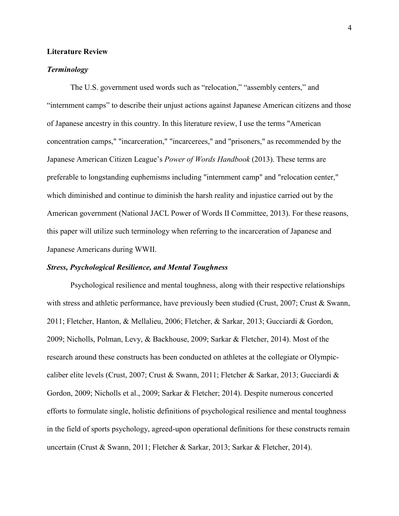## **Literature Review**

## *Terminology*

The U.S. government used words such as "relocation," "assembly centers," and "internment camps" to describe their unjust actions against Japanese American citizens and those of Japanese ancestry in this country. In this literature review, I use the terms "American concentration camps," "incarceration," "incarcerees," and "prisoners," as recommended by the Japanese American Citizen League's *Power of Words Handbook* (2013). These terms are preferable to longstanding euphemisms including "internment camp" and "relocation center," which diminished and continue to diminish the harsh reality and injustice carried out by the American government (National JACL Power of Words II Committee, 2013). For these reasons, this paper will utilize such terminology when referring to the incarceration of Japanese and Japanese Americans during WWII.

## *Stress, Psychological Resilience, and Mental Toughness*

Psychological resilience and mental toughness, along with their respective relationships with stress and athletic performance, have previously been studied (Crust, 2007; Crust & Swann, 2011; Fletcher, Hanton, & Mellalieu, 2006; Fletcher, & Sarkar, 2013; Gucciardi & Gordon, 2009; Nicholls, Polman, Levy, & Backhouse, 2009; Sarkar & Fletcher, 2014). Most of the research around these constructs has been conducted on athletes at the collegiate or Olympiccaliber elite levels (Crust, 2007; Crust & Swann, 2011; Fletcher & Sarkar, 2013; Gucciardi & Gordon, 2009; Nicholls et al., 2009; Sarkar & Fletcher; 2014). Despite numerous concerted efforts to formulate single, holistic definitions of psychological resilience and mental toughness in the field of sports psychology, agreed-upon operational definitions for these constructs remain uncertain (Crust & Swann, 2011; Fletcher & Sarkar, 2013; Sarkar & Fletcher, 2014).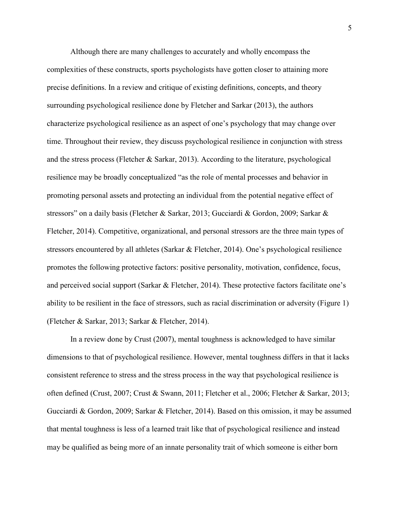Although there are many challenges to accurately and wholly encompass the complexities of these constructs, sports psychologists have gotten closer to attaining more precise definitions. In a review and critique of existing definitions, concepts, and theory surrounding psychological resilience done by Fletcher and Sarkar (2013), the authors characterize psychological resilience as an aspect of one's psychology that may change over time. Throughout their review, they discuss psychological resilience in conjunction with stress and the stress process (Fletcher & Sarkar, 2013). According to the literature, psychological resilience may be broadly conceptualized "as the role of mental processes and behavior in promoting personal assets and protecting an individual from the potential negative effect of stressors" on a daily basis (Fletcher & Sarkar, 2013; Gucciardi & Gordon, 2009; Sarkar & Fletcher, 2014). Competitive, organizational, and personal stressors are the three main types of stressors encountered by all athletes (Sarkar & Fletcher, 2014). One's psychological resilience promotes the following protective factors: positive personality, motivation, confidence, focus, and perceived social support (Sarkar & Fletcher, 2014). These protective factors facilitate one's ability to be resilient in the face of stressors, such as racial discrimination or adversity (Figure 1) (Fletcher & Sarkar, 2013; Sarkar & Fletcher, 2014).

In a review done by Crust (2007), mental toughness is acknowledged to have similar dimensions to that of psychological resilience. However, mental toughness differs in that it lacks consistent reference to stress and the stress process in the way that psychological resilience is often defined (Crust, 2007; Crust & Swann, 2011; Fletcher et al., 2006; Fletcher & Sarkar, 2013; Gucciardi & Gordon, 2009; Sarkar & Fletcher, 2014). Based on this omission, it may be assumed that mental toughness is less of a learned trait like that of psychological resilience and instead may be qualified as being more of an innate personality trait of which someone is either born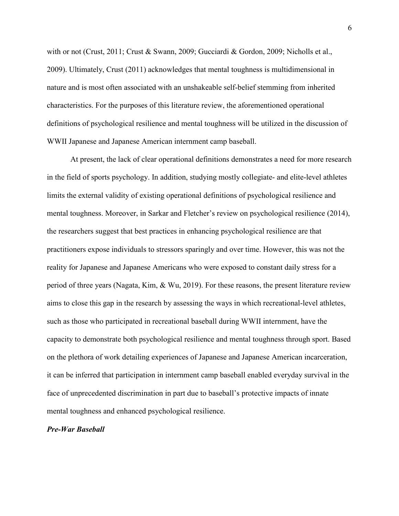with or not (Crust, 2011; Crust & Swann, 2009; Gucciardi & Gordon, 2009; Nicholls et al., 2009). Ultimately, Crust (2011) acknowledges that mental toughness is multidimensional in nature and is most often associated with an unshakeable self-belief stemming from inherited characteristics. For the purposes of this literature review, the aforementioned operational definitions of psychological resilience and mental toughness will be utilized in the discussion of WWII Japanese and Japanese American internment camp baseball.

At present, the lack of clear operational definitions demonstrates a need for more research in the field of sports psychology. In addition, studying mostly collegiate- and elite-level athletes limits the external validity of existing operational definitions of psychological resilience and mental toughness. Moreover, in Sarkar and Fletcher's review on psychological resilience (2014), the researchers suggest that best practices in enhancing psychological resilience are that practitioners expose individuals to stressors sparingly and over time. However, this was not the reality for Japanese and Japanese Americans who were exposed to constant daily stress for a period of three years (Nagata, Kim, & Wu, 2019). For these reasons, the present literature review aims to close this gap in the research by assessing the ways in which recreational-level athletes, such as those who participated in recreational baseball during WWII internment, have the capacity to demonstrate both psychological resilience and mental toughness through sport. Based on the plethora of work detailing experiences of Japanese and Japanese American incarceration, it can be inferred that participation in internment camp baseball enabled everyday survival in the face of unprecedented discrimination in part due to baseball's protective impacts of innate mental toughness and enhanced psychological resilience.

## *Pre-War Baseball*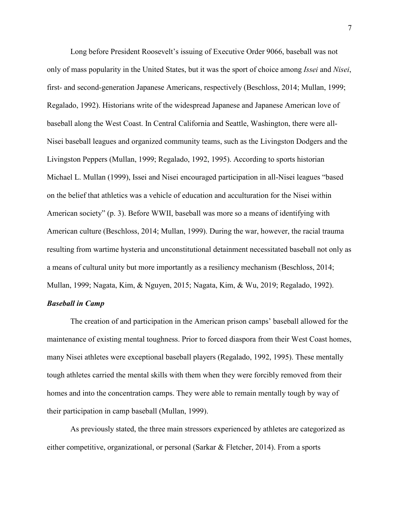Long before President Roosevelt's issuing of Executive Order 9066, baseball was not only of mass popularity in the United States, but it was the sport of choice among *Issei* and *Nisei*, first- and second-generation Japanese Americans, respectively (Beschloss, 2014; Mullan, 1999; Regalado, 1992). Historians write of the widespread Japanese and Japanese American love of baseball along the West Coast. In Central California and Seattle, Washington, there were all-Nisei baseball leagues and organized community teams, such as the Livingston Dodgers and the Livingston Peppers (Mullan, 1999; Regalado, 1992, 1995). According to sports historian Michael L. Mullan (1999), Issei and Nisei encouraged participation in all-Nisei leagues "based on the belief that athletics was a vehicle of education and acculturation for the Nisei within American society" (p. 3). Before WWII, baseball was more so a means of identifying with American culture (Beschloss, 2014; Mullan, 1999). During the war, however, the racial trauma resulting from wartime hysteria and unconstitutional detainment necessitated baseball not only as a means of cultural unity but more importantly as a resiliency mechanism (Beschloss, 2014; Mullan, 1999; Nagata, Kim, & Nguyen, 2015; Nagata, Kim, & Wu, 2019; Regalado, 1992).

## *Baseball in Camp*

The creation of and participation in the American prison camps' baseball allowed for the maintenance of existing mental toughness. Prior to forced diaspora from their West Coast homes, many Nisei athletes were exceptional baseball players (Regalado, 1992, 1995). These mentally tough athletes carried the mental skills with them when they were forcibly removed from their homes and into the concentration camps. They were able to remain mentally tough by way of their participation in camp baseball (Mullan, 1999).

As previously stated, the three main stressors experienced by athletes are categorized as either competitive, organizational, or personal (Sarkar & Fletcher, 2014). From a sports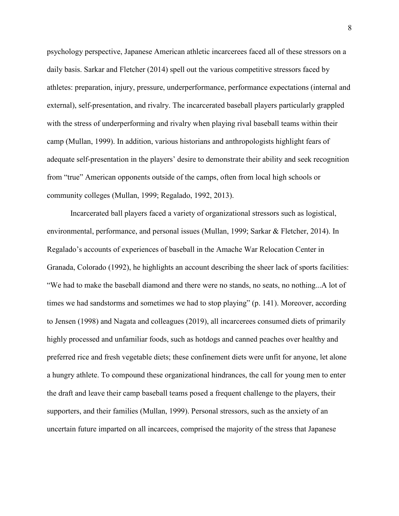psychology perspective, Japanese American athletic incarcerees faced all of these stressors on a daily basis. Sarkar and Fletcher (2014) spell out the various competitive stressors faced by athletes: preparation, injury, pressure, underperformance, performance expectations (internal and external), self-presentation, and rivalry. The incarcerated baseball players particularly grappled with the stress of underperforming and rivalry when playing rival baseball teams within their camp (Mullan, 1999). In addition, various historians and anthropologists highlight fears of adequate self-presentation in the players' desire to demonstrate their ability and seek recognition from "true" American opponents outside of the camps, often from local high schools or community colleges (Mullan, 1999; Regalado, 1992, 2013).

Incarcerated ball players faced a variety of organizational stressors such as logistical, environmental, performance, and personal issues (Mullan, 1999; Sarkar & Fletcher, 2014). In Regalado's accounts of experiences of baseball in the Amache War Relocation Center in Granada, Colorado (1992), he highlights an account describing the sheer lack of sports facilities: "We had to make the baseball diamond and there were no stands, no seats, no nothing...A lot of times we had sandstorms and sometimes we had to stop playing" (p. 141). Moreover, according to Jensen (1998) and Nagata and colleagues (2019), all incarcerees consumed diets of primarily highly processed and unfamiliar foods, such as hotdogs and canned peaches over healthy and preferred rice and fresh vegetable diets; these confinement diets were unfit for anyone, let alone a hungry athlete. To compound these organizational hindrances, the call for young men to enter the draft and leave their camp baseball teams posed a frequent challenge to the players, their supporters, and their families (Mullan, 1999). Personal stressors, such as the anxiety of an uncertain future imparted on all incarcees, comprised the majority of the stress that Japanese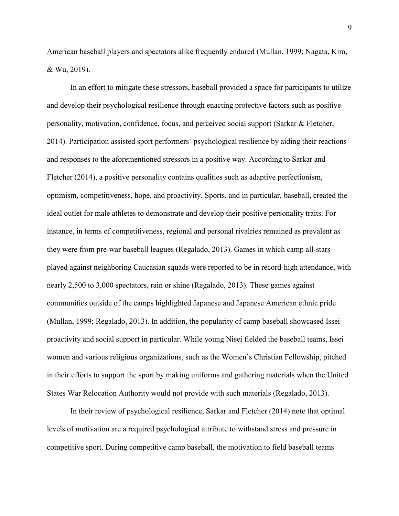American baseball players and spectators alike frequently endured (Mullan, 1999; Nagata, Kim, & Wu, 2019).

In an effort to mitigate these stressors, baseball provided a space for participants to utilize and develop their psychological resilience through enacting protective factors such as positive personality, motivation, confidence, focus, and perceived social support (Sarkar & Fletcher, 2014). Participation assisted sport performers' psychological resilience by aiding their reactions and responses to the aforementioned stressors in a positive way. According to Sarkar and Fletcher (2014), a positive personality contains qualities such as adaptive perfectionism, optimism, competitiveness, hope, and proactivity. Sports, and in particular, baseball, created the ideal outlet for male athletes to demonstrate and develop their positive personality traits. For instance, in terms of competitiveness, regional and personal rivalries remained as prevalent as they were from pre-war baseball leagues (Regalado, 2013). Games in which camp all-stars played against neighboring Caucasian squads were reported to be in record-high attendance, with nearly 2,500 to 3,000 spectators, rain or shine (Regalado, 2013). These games against communities outside of the camps highlighted Japanese and Japanese American ethnic pride (Mullan, 1999; Regalado, 2013). In addition, the popularity of camp baseball showcased Issei proactivity and social support in particular. While young Nisei fielded the baseball teams, Issei women and various religious organizations, such as the Women's Christian Fellowship, pitched in their efforts to support the sport by making uniforms and gathering materials when the United States War Relocation Authority would not provide with such materials (Regalado, 2013).

In their review of psychological resilience, Sarkar and Fletcher (2014) note that optimal levels of motivation are a required psychological attribute to withstand stress and pressure in competitive sport. During competitive camp baseball, the motivation to field baseball teams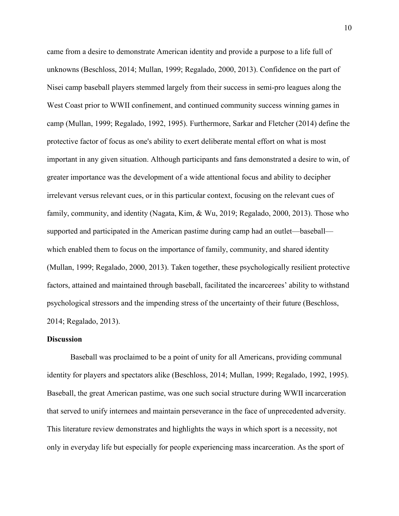came from a desire to demonstrate American identity and provide a purpose to a life full of unknowns (Beschloss, 2014; Mullan, 1999; Regalado, 2000, 2013). Confidence on the part of Nisei camp baseball players stemmed largely from their success in semi-pro leagues along the West Coast prior to WWII confinement, and continued community success winning games in camp (Mullan, 1999; Regalado, 1992, 1995). Furthermore, Sarkar and Fletcher (2014) define the protective factor of focus as one's ability to exert deliberate mental effort on what is most important in any given situation. Although participants and fans demonstrated a desire to win, of greater importance was the development of a wide attentional focus and ability to decipher irrelevant versus relevant cues, or in this particular context, focusing on the relevant cues of family, community, and identity (Nagata, Kim, & Wu, 2019; Regalado, 2000, 2013). Those who supported and participated in the American pastime during camp had an outlet—baseball which enabled them to focus on the importance of family, community, and shared identity (Mullan, 1999; Regalado, 2000, 2013). Taken together, these psychologically resilient protective factors, attained and maintained through baseball, facilitated the incarcerees' ability to withstand psychological stressors and the impending stress of the uncertainty of their future (Beschloss, 2014; Regalado, 2013).

## **Discussion**

Baseball was proclaimed to be a point of unity for all Americans, providing communal identity for players and spectators alike (Beschloss, 2014; Mullan, 1999; Regalado, 1992, 1995). Baseball, the great American pastime, was one such social structure during WWII incarceration that served to unify internees and maintain perseverance in the face of unprecedented adversity. This literature review demonstrates and highlights the ways in which sport is a necessity, not only in everyday life but especially for people experiencing mass incarceration. As the sport of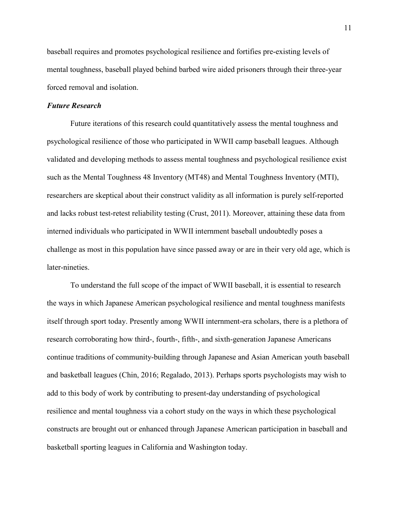baseball requires and promotes psychological resilience and fortifies pre-existing levels of mental toughness, baseball played behind barbed wire aided prisoners through their three-year forced removal and isolation.

## *Future Research*

Future iterations of this research could quantitatively assess the mental toughness and psychological resilience of those who participated in WWII camp baseball leagues. Although validated and developing methods to assess mental toughness and psychological resilience exist such as the Mental Toughness 48 Inventory (MT48) and Mental Toughness Inventory (MTI), researchers are skeptical about their construct validity as all information is purely self-reported and lacks robust test-retest reliability testing (Crust, 2011). Moreover, attaining these data from interned individuals who participated in WWII internment baseball undoubtedly poses a challenge as most in this population have since passed away or are in their very old age, which is later-nineties.

To understand the full scope of the impact of WWII baseball, it is essential to research the ways in which Japanese American psychological resilience and mental toughness manifests itself through sport today. Presently among WWII internment-era scholars, there is a plethora of research corroborating how third-, fourth-, fifth-, and sixth-generation Japanese Americans continue traditions of community-building through Japanese and Asian American youth baseball and basketball leagues (Chin, 2016; Regalado, 2013). Perhaps sports psychologists may wish to add to this body of work by contributing to present-day understanding of psychological resilience and mental toughness via a cohort study on the ways in which these psychological constructs are brought out or enhanced through Japanese American participation in baseball and basketball sporting leagues in California and Washington today.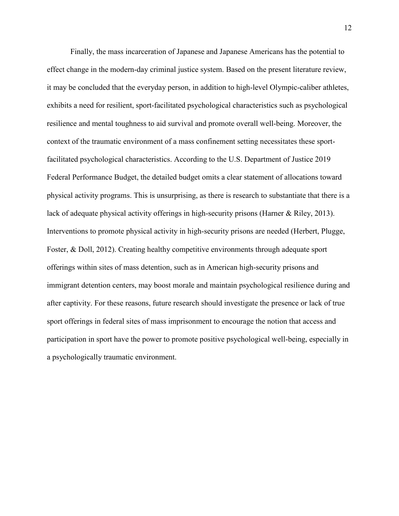Finally, the mass incarceration of Japanese and Japanese Americans has the potential to effect change in the modern-day criminal justice system. Based on the present literature review, it may be concluded that the everyday person, in addition to high-level Olympic-caliber athletes, exhibits a need for resilient, sport-facilitated psychological characteristics such as psychological resilience and mental toughness to aid survival and promote overall well-being. Moreover, the context of the traumatic environment of a mass confinement setting necessitates these sportfacilitated psychological characteristics. According to the U.S. Department of Justice 2019 Federal Performance Budget, the detailed budget omits a clear statement of allocations toward physical activity programs. This is unsurprising, as there is research to substantiate that there is a lack of adequate physical activity offerings in high-security prisons (Harner & Riley, 2013). Interventions to promote physical activity in high-security prisons are needed (Herbert, Plugge, Foster, & Doll, 2012). Creating healthy competitive environments through adequate sport offerings within sites of mass detention, such as in American high-security prisons and immigrant detention centers, may boost morale and maintain psychological resilience during and after captivity. For these reasons, future research should investigate the presence or lack of true sport offerings in federal sites of mass imprisonment to encourage the notion that access and participation in sport have the power to promote positive psychological well-being, especially in a psychologically traumatic environment.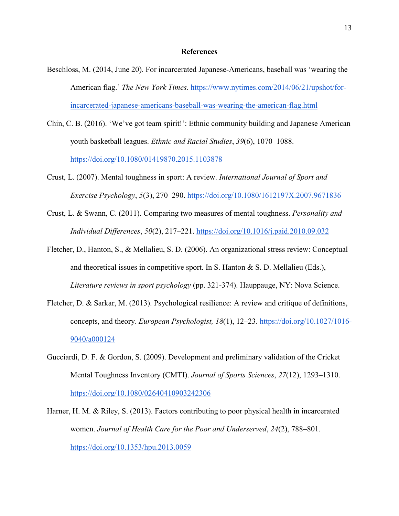#### **References**

- Beschloss, M. (2014, June 20). For incarcerated Japanese-Americans, baseball was 'wearing the American flag.' *The New York Times*[.](https://www.nytimes.com/2014/06/21/upshot/for-incarcerated-japanese-americans-baseball-was-wearing-the-american-flag.html) [https://www.nytimes.com/2014/06/21/upshot/for](https://www.nytimes.com/2014/06/21/upshot/for-incarcerated-japanese-americans-baseball-was-wearing-the-american-flag.html)[incarcerated-japanese-americans-baseball-was-wearing-the-american-flag.html](https://www.nytimes.com/2014/06/21/upshot/for-incarcerated-japanese-americans-baseball-was-wearing-the-american-flag.html)
- Chin, C. B. (2016). 'We've got team spirit!': Ethnic community building and Japanese American youth basketball leagues. *Ethnic and Racial Studies*, *39*(6), 1070–1088[.](https://doi.org/10.1080/01419870.2015.1103878) <https://doi.org/10.1080/01419870.2015.1103878>
- Crust, L. (2007). Mental toughness in sport: A review. *International Journal of Sport and Exercise Psychology*, *5*(3), 270–290[.](https://doi.org/10.1080/1612197X.2007.9671836) <https://doi.org/10.1080/1612197X.2007.9671836>
- Crust, L. & Swann, C. (2011). Comparing two measures of mental toughness. *Personality and Individual Differences*, *50*(2), 217–221[.](https://doi.org/10.1016/j.paid.2010.09.032) <https://doi.org/10.1016/j.paid.2010.09.032>
- Fletcher, D., Hanton, S., & Mellalieu, S. D. (2006). An organizational stress review: Conceptual and theoretical issues in competitive sport. In S. Hanton & S. D. Mellalieu (Eds.), *Literature reviews in sport psychology* (pp. 321-374). Hauppauge, NY: Nova Science.
- Fletcher, D. & Sarkar, M. (2013). Psychological resilience: A review and critique of definitions, concepts, and theory. *European Psychologist*, 18(1), 12-23. [https://doi.org/10.1027/1016-](https://psycnet.apa.org/doi/10.1027/1016-9040/a000124) [9040/a000124](https://psycnet.apa.org/doi/10.1027/1016-9040/a000124)
- Gucciardi, D. F. & Gordon, S. (2009). Development and preliminary validation of the Cricket Mental Toughness Inventory (CMTI). *Journal of Sports Sciences*, *27*(12), 1293–1310[.](https://doi.org/10.1080/02640410903242306) <https://doi.org/10.1080/02640410903242306>
- Harner, H. M. & Riley, S. (2013). Factors contributing to poor physical health in incarcerated women. *Journal of Health Care for the Poor and Underserved*, *24*(2), 788–801[.](https://doi.org/10.1353/hpu.2013.0059) <https://doi.org/10.1353/hpu.2013.0059>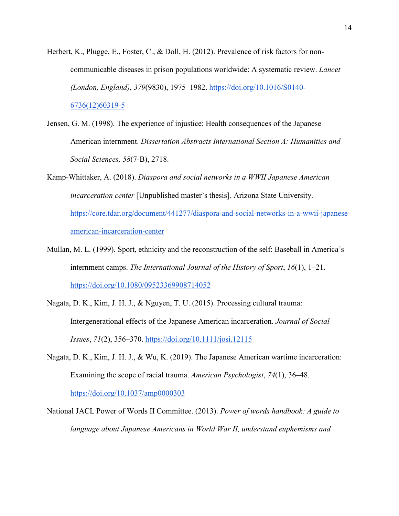- Herbert, K., Plugge, E., Foster, C., & Doll, H. (2012). Prevalence of risk factors for noncommunicable diseases in prison populations worldwide: A systematic review. *Lancet (London, England)*, *379*(9830), 1975–1982. [https://doi.org/10.1016/S0140-](https://doi.org/10.1016/S0140-6736(12)60319-5) [6736\(12\)60319-5](https://doi.org/10.1016/S0140-6736(12)60319-5)
- Jensen, G. M. (1998). The experience of injustice: Health consequences of the Japanese American internment. *Dissertation Abstracts International Section A: Humanities and Social Sciences, 58*(7-B), 2718.
- Kamp-Whittaker, A. (2018). *Diaspora and social networks in a WWII Japanese American incarceration center* [Unpublished master's thesis]*.* Arizona State University. [https://core.tdar.org/document/441277/diaspora-and-social-networks-in-a-wwii-japanese](https://core.tdar.org/document/441277/diaspora-and-social-networks-in-a-wwii-japanese-american-incarceration-center)[american-incarceration-center](https://core.tdar.org/document/441277/diaspora-and-social-networks-in-a-wwii-japanese-american-incarceration-center)
- Mullan, M. L. (1999). Sport, ethnicity and the reconstruction of the self: Baseball in America's internment camps. *The International Journal of the History of Sport*, *16*(1), 1–21[.](https://doi.org/10.1080/09523369908714052) <https://doi.org/10.1080/09523369908714052>
- Nagata, D. K., Kim, J. H. J., & Nguyen, T. U. (2015). Processing cultural trauma: Intergenerational effects of the Japanese American incarceration. *Journal of Social Issues*, *71*(2), 356–370. <https://doi.org/10.1111/josi.12115>
- Nagata, D. K., Kim, J. H. J., & Wu, K. (2019). The Japanese American wartime incarceration: Examining the scope of racial trauma. *American Psychologist*, *74*(1), 36–48[.](https://doi.org/10.1037/amp0000303) <https://doi.org/10.1037/amp0000303>
- National JACL Power of Words II Committee. (2013). *Power of words handbook: A guide to language about Japanese Americans in World War II, understand euphemisms and*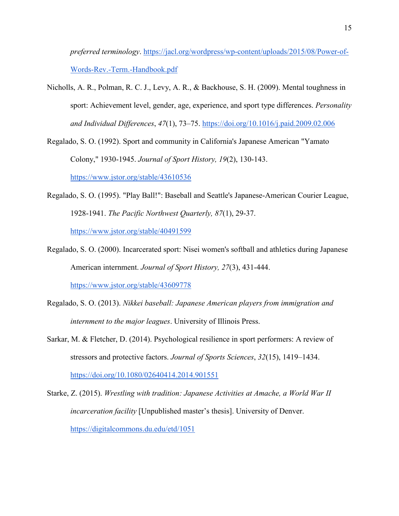*preferred terminology*. [https://jacl.org/wordpress/wp-content/uploads/2015/08/Power-of-](https://jacl.org/wordpress/wp-content/uploads/2015/08/Power-of-Words-Rev.-Term.-Handbook.pdf)[Words-Rev.-Term.-Handbook.pdf](https://jacl.org/wordpress/wp-content/uploads/2015/08/Power-of-Words-Rev.-Term.-Handbook.pdf)

- Nicholls, A. R., Polman, R. C. J., Levy, A. R., & Backhouse, S. H. (2009). Mental toughness in sport: Achievement level, gender, age, experience, and sport type differences. *Personality and Individual Differences*, *47*(1), 73–75[.](https://doi.org/10.1016/j.paid.2009.02.006) <https://doi.org/10.1016/j.paid.2009.02.006>
- Regalado, S. O. (1992). Sport and community in California's Japanese American "Yamato Colony," 1930-1945. *Journal of Sport History, 19*(2), 130-143.

<https://www.jstor.org/stable/43610536>

- Regalado, S. O. (1995). "Play Ball!": Baseball and Seattle's Japanese-American Courier League, 1928-1941. *The Pacific Northwest Quarterly, 87*(1), 29-37. https://www.jstor.org/stable/40491599
- Regalado, S. O. (2000). Incarcerated sport: Nisei women's softball and athletics during Japanese American internment. *Journal of Sport History, 27*(3), 431-444. <https://www.jstor.org/stable/43609778>
- Regalado, S. O. (2013). *Nikkei baseball: Japanese American players from immigration and internment to the major leagues*. University of Illinois Press.
- Sarkar, M. & Fletcher, D. (2014). Psychological resilience in sport performers: A review of stressors and protective factors. *Journal of Sports Sciences*, *32*(15), 1419–1434[.](https://doi.org/10.1080/02640414.2014.901551) <https://doi.org/10.1080/02640414.2014.901551>

Starke, Z. (2015). *Wrestling with tradition: Japanese Activities at Amache, a World War II incarceration facility* [Unpublished master's thesis]. University of Denver. <https://digitalcommons.du.edu/etd/1051>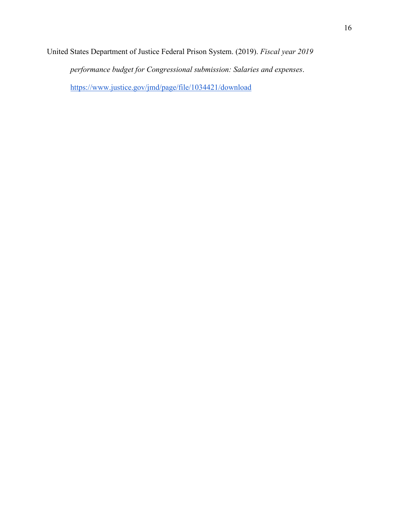United States Department of Justice Federal Prison System. (2019). *Fiscal year 2019* 

*performance budget for Congressional submission: Salaries and expenses*.

<https://www.justice.gov/jmd/page/file/1034421/download>